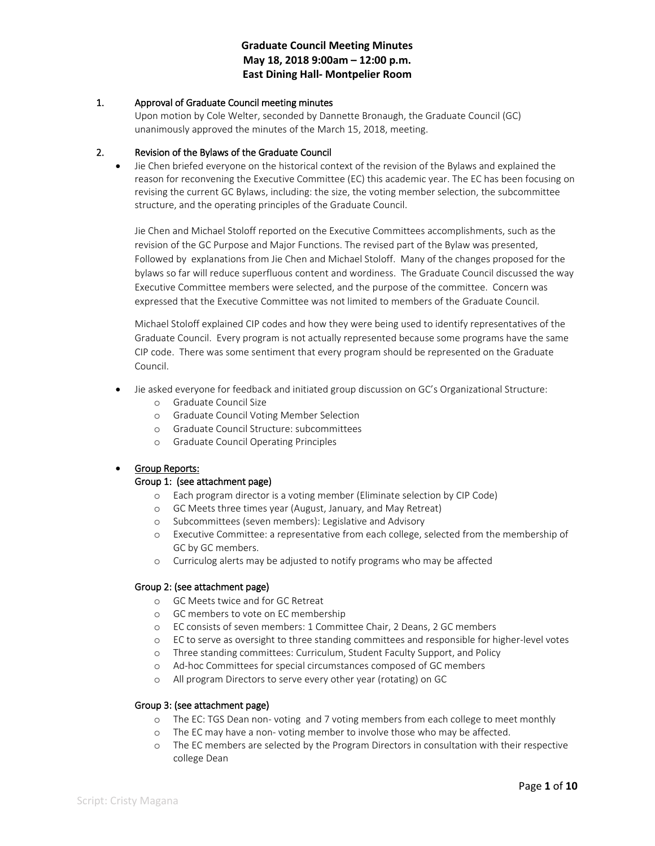# **Graduate Council Meeting Minutes May 18, 2018 9:00am – 12:00 p.m. East Dining Hall- Montpelier Room**

### 1. Approval of Graduate Council meeting minutes

Upon motion by Cole Welter, seconded by Dannette Bronaugh, the Graduate Council (GC) unanimously approved the minutes of the March 15, 2018, meeting.

### 2. Revision of the Bylaws of the Graduate Council

• Jie Chen briefed everyone on the historical context of the revision of the Bylaws and explained the reason for reconvening the Executive Committee (EC) this academic year. The EC has been focusing on revising the current GC Bylaws, including: the size, the voting member selection, the subcommittee structure, and the operating principles of the Graduate Council.

Jie Chen and Michael Stoloff reported on the Executive Committees accomplishments, such as the revision of the GC Purpose and Major Functions. The revised part of the Bylaw was presented, Followed by explanations from Jie Chen and Michael Stoloff. Many of the changes proposed for the bylaws so far will reduce superfluous content and wordiness. The Graduate Council discussed the way Executive Committee members were selected, and the purpose of the committee. Concern was expressed that the Executive Committee was not limited to members of the Graduate Council.

Michael Stoloff explained CIP codes and how they were being used to identify representatives of the Graduate Council. Every program is not actually represented because some programs have the same CIP code. There was some sentiment that every program should be represented on the Graduate Council.

- Jie asked everyone for feedback and initiated group discussion on GC's Organizational Structure:
	- o Graduate Council Size
	- o Graduate Council Voting Member Selection
	- o Graduate Council Structure: subcommittees
	- o Graduate Council Operating Principles

#### • Group Reports:

### Group 1: (see attachment page)

- o Each program director is a voting member (Eliminate selection by CIP Code)
- o GC Meets three times year (August, January, and May Retreat)
- o Subcommittees (seven members): Legislative and Advisory
- o Executive Committee: a representative from each college, selected from the membership of GC by GC members.
- o Curriculog alerts may be adjusted to notify programs who may be affected

#### Group 2: (see attachment page)

- o GC Meets twice and for GC Retreat
- o GC members to vote on EC membership
- o EC consists of seven members: 1 Committee Chair, 2 Deans, 2 GC members
- o EC to serve as oversight to three standing committees and responsible for higher-level votes
- o Three standing committees: Curriculum, Student Faculty Support, and Policy
- o Ad-hoc Committees for special circumstances composed of GC members
- o All program Directors to serve every other year (rotating) on GC

#### Group 3: (see attachment page)

- o The EC: TGS Dean non- voting and 7 voting members from each college to meet monthly
- o The EC may have a non- voting member to involve those who may be affected.
- o The EC members are selected by the Program Directors in consultation with their respective college Dean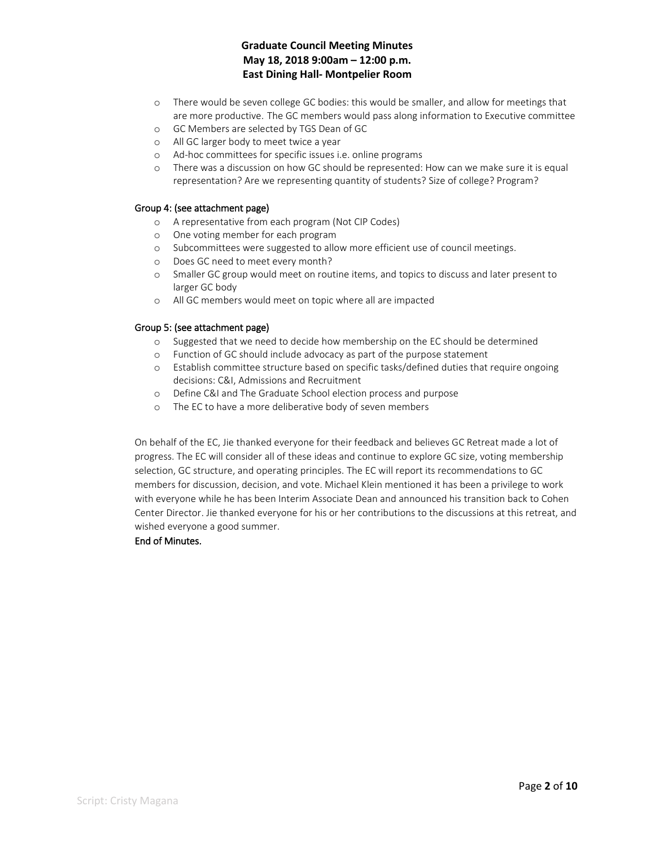# **Graduate Council Meeting Minutes May 18, 2018 9:00am – 12:00 p.m. East Dining Hall- Montpelier Room**

- o There would be seven college GC bodies: this would be smaller, and allow for meetings that are more productive. The GC members would pass along information to Executive committee
- o GC Members are selected by TGS Dean of GC
- o All GC larger body to meet twice a year
- o Ad-hoc committees for specific issues i.e. online programs
- o There was a discussion on how GC should be represented: How can we make sure it is equal representation? Are we representing quantity of students? Size of college? Program?

#### Group 4: (see attachment page)

- o A representative from each program (Not CIP Codes)
- o One voting member for each program
- o Subcommittees were suggested to allow more efficient use of council meetings.
- o Does GC need to meet every month?
- o Smaller GC group would meet on routine items, and topics to discuss and later present to larger GC body
- o All GC members would meet on topic where all are impacted

### Group 5: (see attachment page)

- o Suggested that we need to decide how membership on the EC should be determined
- o Function of GC should include advocacy as part of the purpose statement
- o Establish committee structure based on specific tasks/defined duties that require ongoing decisions: C&I, Admissions and Recruitment
- o Define C&I and The Graduate School election process and purpose
- o The EC to have a more deliberative body of seven members

On behalf of the EC, Jie thanked everyone for their feedback and believes GC Retreat made a lot of progress. The EC will consider all of these ideas and continue to explore GC size, voting membership selection, GC structure, and operating principles. The EC will report its recommendations to GC members for discussion, decision, and vote. Michael Klein mentioned it has been a privilege to work with everyone while he has been Interim Associate Dean and announced his transition back to Cohen Center Director. Jie thanked everyone for his or her contributions to the discussions at this retreat, and wished everyone a good summer.

# End of Minutes.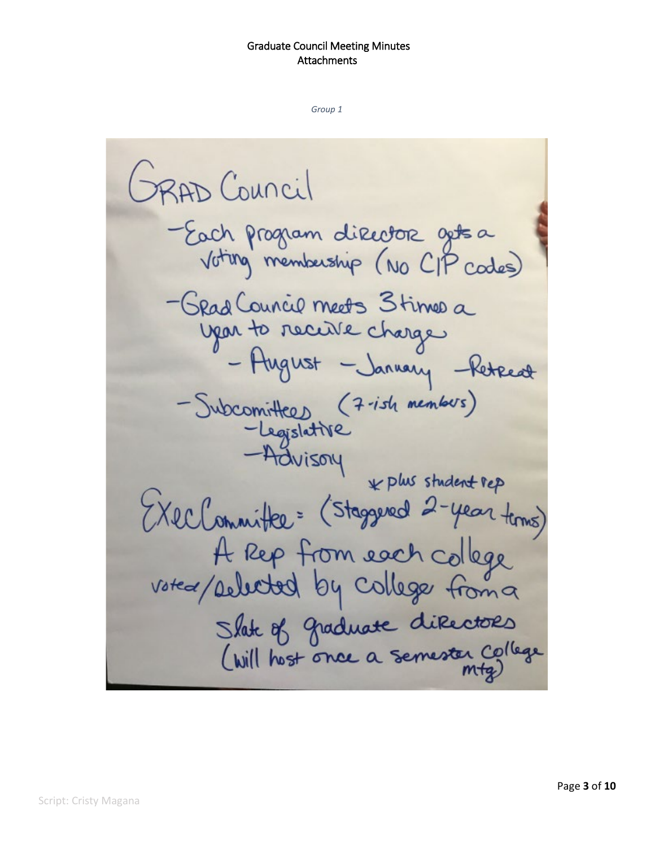GRAD Council -Each program director gets a Voting membership (NO CIP codes) - Grad Council meets 3 times a year to receive charge - August - January - Retreat - Subcomittees (7-ish members) -Legislative -Advisory k plus student rep (XecCommittee= (Staggered 2-year time) A Rep from each college<br>voted/pelected by college from a Slate of graduate directors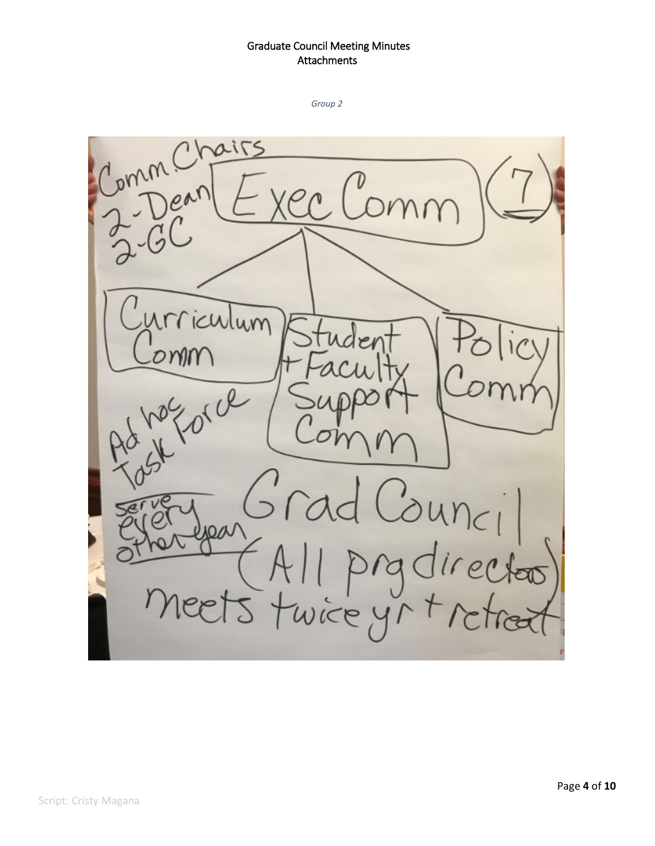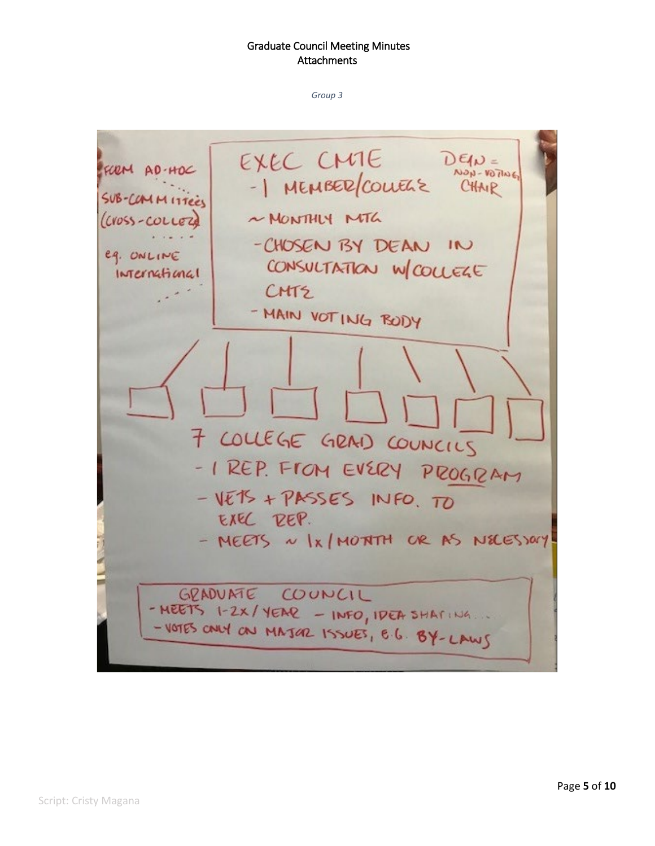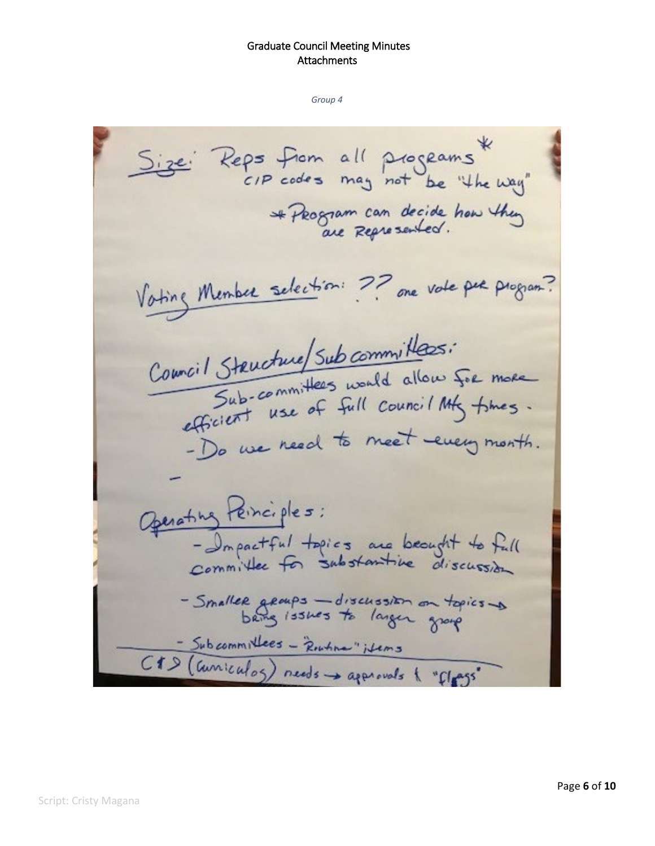use: Reps from all programs \*<br>CIP codes may not be "the way" \* Program can decide how they Voting Member selection: ?? one vote per program? Commail Structure/Sub committees: Structure/ Sub communication for more<br>Sub-committees would allow for more Sub-committees worked My thes. - Do we need to meet every month. Operating Peinciples: - Impactful topics are beaught to full<br>committee for substantive discussion - Smaller groups - discussion on topics -> - Subcommittees - Routine" items<br>C#D (Guniculos) needs -> approvals { "flags"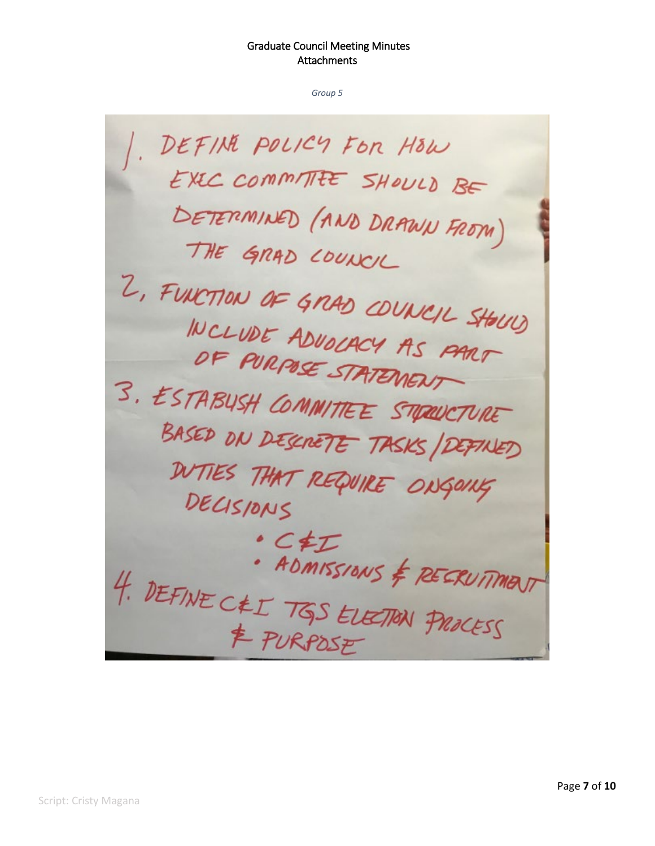DEFINE POLICY FOR HOW EXEC COMMITTEE SHOULD BE DETERMINED (AND DRAWN FROM) THE GRAD COUNCIL 2, FUNCTION OF GRAD COUNCIL SHOUP INCLUDE ADVOCACY AS PART OF PURPOSE STATEMENT 3. ESTABUSH COMMITTEE STREUCTURE BASED ON DESCRETE TASKS/DEFINED DUTIES THAT REQUIRE ONGOING DECISIONS · CEI · ADMISSIONS & RECRUTIMENT 4. DEFINE CEL TGS ELECTION PROCESS & PURPOSE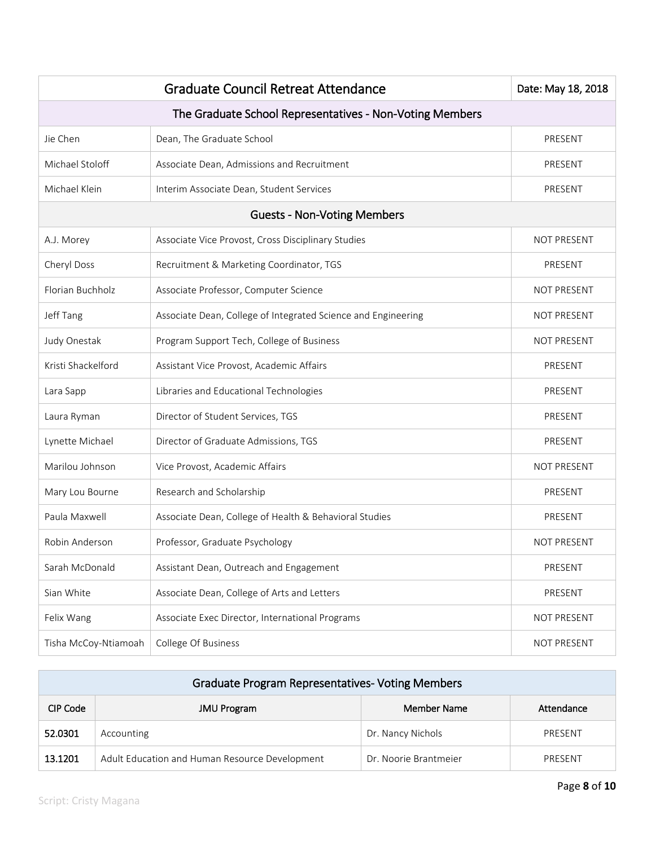|                                                          | Date: May 18, 2018                                            |                    |  |  |
|----------------------------------------------------------|---------------------------------------------------------------|--------------------|--|--|
| The Graduate School Representatives - Non-Voting Members |                                                               |                    |  |  |
| Jie Chen                                                 | Dean, The Graduate School                                     | PRESENT            |  |  |
| Michael Stoloff                                          | Associate Dean, Admissions and Recruitment                    | PRESENT            |  |  |
| Michael Klein                                            | Interim Associate Dean, Student Services                      | PRESENT            |  |  |
|                                                          | <b>Guests - Non-Voting Members</b>                            |                    |  |  |
| A.J. Morey                                               | Associate Vice Provost, Cross Disciplinary Studies            | NOT PRESENT        |  |  |
| Cheryl Doss                                              | Recruitment & Marketing Coordinator, TGS                      | PRESENT            |  |  |
| Florian Buchholz                                         | Associate Professor, Computer Science                         | <b>NOT PRESENT</b> |  |  |
| Jeff Tang                                                | Associate Dean, College of Integrated Science and Engineering | <b>NOT PRESENT</b> |  |  |
| Judy Onestak                                             | Program Support Tech, College of Business                     | <b>NOT PRESENT</b> |  |  |
| Kristi Shackelford                                       | Assistant Vice Provost, Academic Affairs                      | PRESENT            |  |  |
| Lara Sapp                                                | Libraries and Educational Technologies                        | PRESENT            |  |  |
| Laura Ryman                                              | Director of Student Services, TGS                             | PRESENT            |  |  |
| Lynette Michael                                          | Director of Graduate Admissions, TGS                          | PRESENT            |  |  |
| Marilou Johnson                                          | Vice Provost, Academic Affairs                                | <b>NOT PRESENT</b> |  |  |
| Mary Lou Bourne                                          | Research and Scholarship                                      | PRESENT            |  |  |
| Paula Maxwell                                            | Associate Dean, College of Health & Behavioral Studies        | PRESENT            |  |  |
| Robin Anderson                                           | Professor, Graduate Psychology                                | <b>NOT PRESENT</b> |  |  |
| Sarah McDonald                                           | Assistant Dean, Outreach and Engagement                       | PRESENT            |  |  |
| Sian White                                               | Associate Dean, College of Arts and Letters                   | PRESENT            |  |  |
| Felix Wang                                               | Associate Exec Director, International Programs               | NOT PRESENT        |  |  |
| Tisha McCoy-Ntiamoah                                     | College Of Business                                           | NOT PRESENT        |  |  |

| <b>Graduate Program Representatives- Voting Members</b> |                                                |                       |            |  |  |
|---------------------------------------------------------|------------------------------------------------|-----------------------|------------|--|--|
| CIP Code                                                | <b>JMU Program</b>                             | Member Name           | Attendance |  |  |
| 52.0301                                                 | Accounting                                     | Dr. Nancy Nichols     | PRESENT    |  |  |
| 13.1201                                                 | Adult Education and Human Resource Development | Dr. Noorie Brantmeier | PRESENT    |  |  |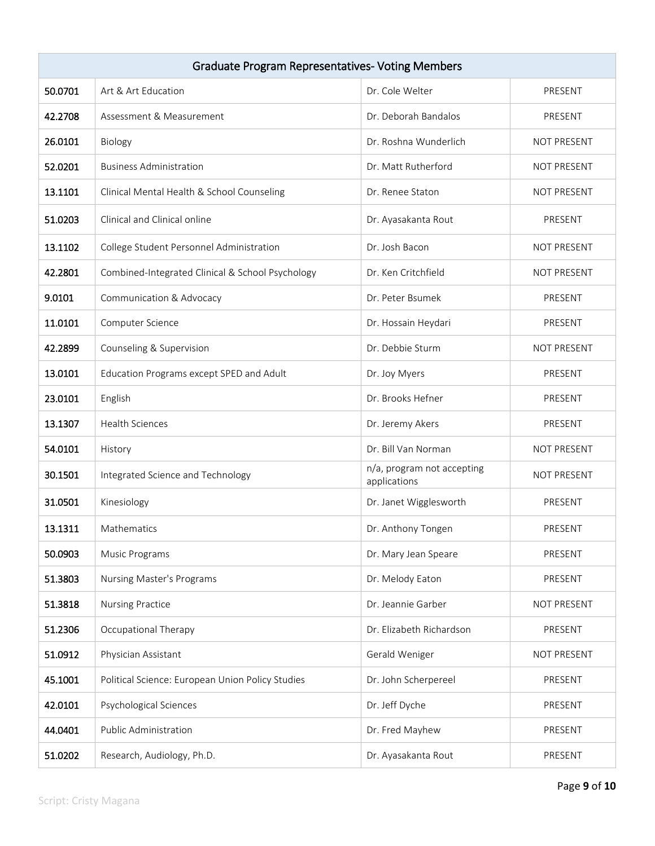| <b>Graduate Program Representatives- Voting Members</b> |                                                  |                                            |                    |  |
|---------------------------------------------------------|--------------------------------------------------|--------------------------------------------|--------------------|--|
| 50.0701                                                 | Art & Art Education                              | Dr. Cole Welter                            | PRESENT            |  |
| 42.2708                                                 | Assessment & Measurement                         | Dr. Deborah Bandalos                       | PRESENT            |  |
| 26.0101                                                 | Biology                                          | Dr. Roshna Wunderlich                      | NOT PRESENT        |  |
| 52.0201                                                 | <b>Business Administration</b>                   | Dr. Matt Rutherford                        | NOT PRESENT        |  |
| 13.1101                                                 | Clinical Mental Health & School Counseling       | Dr. Renee Staton                           | NOT PRESENT        |  |
| 51.0203                                                 | Clinical and Clinical online                     | Dr. Ayasakanta Rout                        | PRESENT            |  |
| 13.1102                                                 | College Student Personnel Administration         | Dr. Josh Bacon                             | NOT PRESENT        |  |
| 42.2801                                                 | Combined-Integrated Clinical & School Psychology | Dr. Ken Critchfield                        | <b>NOT PRESENT</b> |  |
| 9.0101                                                  | Communication & Advocacy                         | Dr. Peter Bsumek                           | PRESENT            |  |
| 11.0101                                                 | Computer Science                                 | Dr. Hossain Heydari                        | PRESENT            |  |
| 42.2899                                                 | Counseling & Supervision                         | Dr. Debbie Sturm                           | NOT PRESENT        |  |
| 13.0101                                                 | Education Programs except SPED and Adult         | Dr. Joy Myers                              | PRESENT            |  |
| 23.0101                                                 | English                                          | Dr. Brooks Hefner                          | PRESENT            |  |
| 13.1307                                                 | <b>Health Sciences</b>                           | Dr. Jeremy Akers                           | PRESENT            |  |
| 54.0101                                                 | History                                          | Dr. Bill Van Norman                        | <b>NOT PRESENT</b> |  |
| 30.1501                                                 | Integrated Science and Technology                | n/a, program not accepting<br>applications | NOT PRESENT        |  |
| 31.0501                                                 | Kinesiology                                      | Dr. Janet Wigglesworth                     | PRESENT            |  |
| 13.1311                                                 | Mathematics                                      | Dr. Anthony Tongen                         | PRESENT            |  |
| 50.0903                                                 | Music Programs                                   | Dr. Mary Jean Speare                       | PRESENT            |  |
| 51.3803                                                 | Nursing Master's Programs                        | Dr. Melody Eaton                           | PRESENT            |  |
| 51.3818                                                 | Nursing Practice                                 | Dr. Jeannie Garber                         | NOT PRESENT        |  |
| 51.2306                                                 | Occupational Therapy                             | Dr. Elizabeth Richardson                   | PRESENT            |  |
| 51.0912                                                 | Physician Assistant                              | Gerald Weniger                             | NOT PRESENT        |  |
| 45.1001                                                 | Political Science: European Union Policy Studies | Dr. John Scherpereel                       | PRESENT            |  |
| 42.0101                                                 | Psychological Sciences                           | Dr. Jeff Dyche                             | PRESENT            |  |
| 44.0401                                                 | Public Administration                            | Dr. Fred Mayhew                            | PRESENT            |  |
| 51.0202                                                 | Research, Audiology, Ph.D.                       | Dr. Ayasakanta Rout                        | PRESENT            |  |